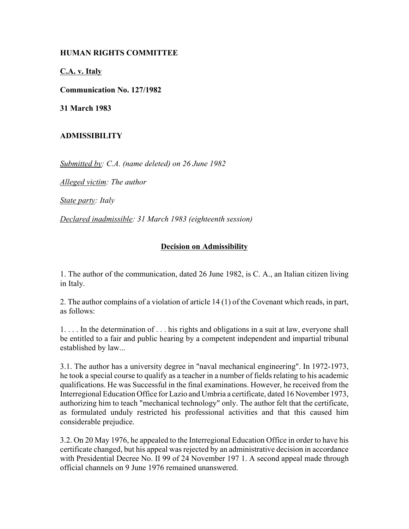## **HUMAN RIGHTS COMMITTEE**

**C.A. v. Italy**

**Communication No. 127/1982**

**31 March 1983**

## **ADMISSIBILITY**

*Submitted by: C.A. (name deleted) on 26 June 1982*

*Alleged victim: The author*

*State party: Italy*

*Declared inadmissible: 31 March 1983 (eighteenth session)*

## **Decision on Admissibility**

1. The author of the communication, dated 26 June 1982, is C. A., an Italian citizen living in Italy.

2. The author complains of a violation of article 14 (1) of the Covenant which reads, in part, as follows:

1. . . . In the determination of . . . his rights and obligations in a suit at law, everyone shall be entitled to a fair and public hearing by a competent independent and impartial tribunal established by law...

3.1. The author has a university degree in "naval mechanical engineering". In 1972-1973, he took a special course to qualify as a teacher in a number of fields relating to his academic qualifications. He was Successful in the final examinations. However, he received from the Interregional Education Office for Lazio and Umbria a certificate, dated 16 November 1973, authorizing him to teach "mechanical technology" only. The author felt that the certificate, as formulated unduly restricted his professional activities and that this caused him considerable prejudice.

3.2. On 20 May 1976, he appealed to the Interregional Education Office in order to have his certificate changed, but his appeal was rejected by an administrative decision in accordance with Presidential Decree No. II 99 of 24 November 197 1. A second appeal made through official channels on 9 June 1976 remained unanswered.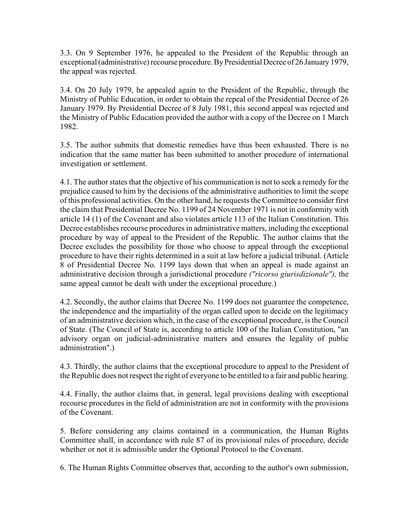3.3. On 9 September 1976, he appealed to the President of the Republic through an exceptional (administrative) recourse procedure. By Presidential Decree of 26 January 1979, the appeal was rejected.

3.4. On 20 July 1979, he appealed again to the President of the Republic, through the Ministry of Public Education, in order to obtain the repeal of the Presidential Decree of 26 January 1979. By Presidential Decree of 8 July 1981, this second appeal was rejected and the Ministry of Public Education provided the author with a copy of the Decree on 1 March 1982.

3.5. The author submits that domestic remedies have thus been exhausted. There is no indication that the same matter has been submitted to another procedure of international investigation or settlement.

4.1. The author states that the objective of his communication is not to seek a remedy for the prejudice caused to him by the decisions of the administrative authorities to limit the scope of this professional activities. On the other hand, he requests the Committee to consider first the claim that Presidential Decree No. 1199 of 24 November 1971 is not in conformity with article 14 (1) of the Covenant and also violates article 113 of the Italian Constitution. This Decree establishes recourse procedures in administrative matters, including the exceptional procedure by way of appeal to the President of the Republic. The author claims that the Decree excludes the possibility for those who choose to appeal through the exceptional procedure to have their rights determined in a suit at law before a judicial tribunal. (Article 8 of Presidential Decree No. 1199 lays down that when an appeal is made against an administrative decision through a jurisdictional procedure *("ricorso giurisdizionale"),* the same appeal cannot be dealt with under the exceptional procedure.)

4.2. Secondly, the author claims that Decree No. 1199 does not guarantee the competence, the independence and the impartiality of the organ called upon to decide on the legitimacy of an administrative decision which, in the case of the exceptional procedure, is the Council of State. (The Council of State is, according to article 100 of the Italian Constitution, "an advisory organ on judicial-administrative matters and ensures the legality of public administration".)

4.3. Thirdly, the author claims that the exceptional procedure to appeal to the President of the Republic does not respect the right of everyone to be entitled to a fair and public hearing.

4.4. Finally, the author claims that, in general, legal provisions dealing with exceptional recourse procedures in the field of administration are not in conformity with the provisions of the Covenant.

5. Before considering any claims contained in a communication, the Human Rights Committee shall, in accordance with rule 87 of its provisional rules of procedure, decide whether or not it is admissible under the Optional Protocol to the Covenant.

6. The Human Rights Committee observes that, according to the author's own submission,